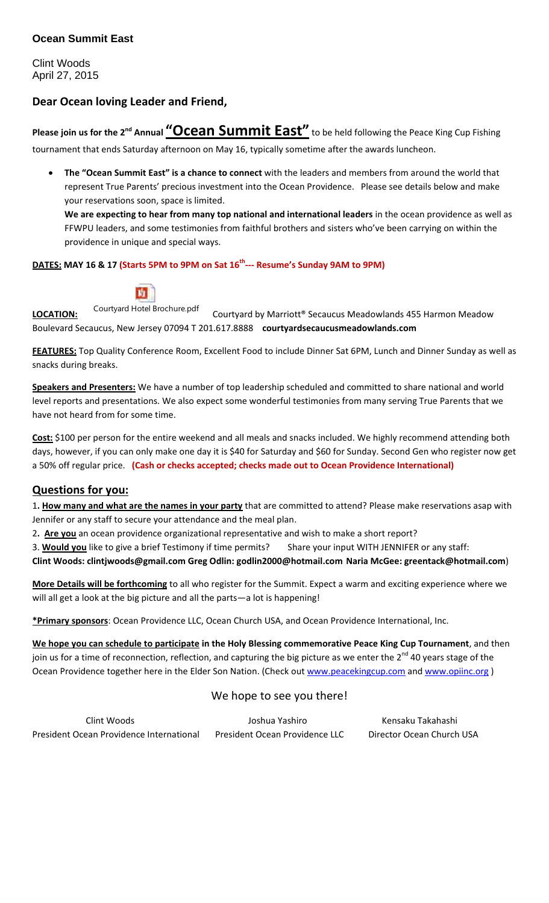### **Ocean Summit East**

Clint Woods April 27, 2015

# **Dear Ocean loving Leader and Friend,**

**Please join us for the 2nd Annual "Ocean Summit East"** to be held following the Peace King Cup Fishing tournament that ends Saturday afternoon on May 16, typically sometime after the awards luncheon.

 **The "Ocean Summit East" is a chance to connect** with the leaders and members from around the world that represent True Parents' precious investment into the Ocean Providence. Please see details below and make your reservations soon, space is limited.

**We are expecting to hear from many top national and international leaders** in the ocean providence as well as FFWPU leaders, and some testimonies from faithful brothers and sisters who've been carrying on within the providence in unique and special ways.

#### **DATES: MAY 16 & 17 (Starts 5PM to 9PM on Sat 16th --- Resume's Sunday 9AM to 9PM)**



**LOCATION:** Courtyard Hotel Brochure.pdf Courtyard by Marriott® Secaucus Meadowlands 455 Harmon Meadow Boulevard Secaucus, New Jersey 07094 T 201.617.8888 **courtyardsecaucusmeadowlands.com**

**FEATURES:** Top Quality Conference Room, Excellent Food to include Dinner Sat 6PM, Lunch and Dinner Sunday as well as snacks during breaks.

**Speakers and Presenters:** We have a number of top leadership scheduled and committed to share national and world level reports and presentations. We also expect some wonderful testimonies from many serving True Parents that we have not heard from for some time.

**Cost:** \$100 per person for the entire weekend and all meals and snacks included. We highly recommend attending both days, however, if you can only make one day it is \$40 for Saturday and \$60 for Sunday. Second Gen who register now get a 50% off regular price. **(Cash or checks accepted; checks made out to Ocean Providence International)** 

### **Questions for you:**

1**. How many and what are the names in your party** that are committed to attend? Please make reservations asap with Jennifer or any staff to secure your attendance and the meal plan.

2**. Are you** an ocean providence organizational representative and wish to make a short report?

3. Would you like to give a brief Testimony if time permits? Share your input WITH JENNIFER or any staff:

**Clint Woods: clintjwoods@gmail.com Greg Odlin: godlin2000@hotmail.com Naria McGee: greentack@hotmail.com**)

**More Details will be forthcoming** to all who register for the Summit. Expect a warm and exciting experience where we will all get a look at the big picture and all the parts—a lot is happening!

**\*Primary sponsors**: Ocean Providence LLC, Ocean Church USA, and Ocean Providence International, Inc.

**We hope you can schedule to participate in the Holy Blessing commemorative Peace King Cup Tournament**, and then join us for a time of reconnection, reflection, and capturing the big picture as we enter the 2<sup>nd</sup> 40 years stage of the Ocean Providence together here in the Elder Son Nation. (Check out www.peacekingcup.com and www.opiinc.org)

# We hope to see you there!

| Clint Woods                              | Joshua Yashiro                 | Kensaku Takahashi         |
|------------------------------------------|--------------------------------|---------------------------|
| President Ocean Providence International | President Ocean Providence LLC | Director Ocean Church USA |